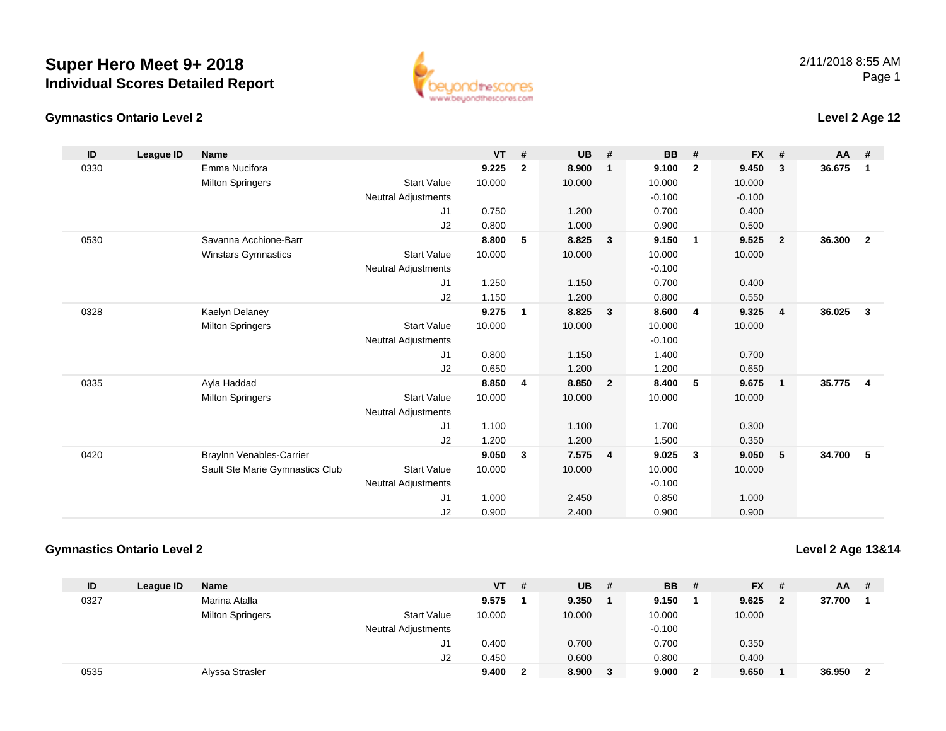## **Gymnastics Ontario Level 2**

www.beyondthescores.com

## **Level 2 Age 12**

| ID   | League ID | <b>Name</b>                     |                            | <b>VT</b> | #            | <b>UB</b> | #              | <b>BB</b> | #              | <b>FX</b> | #              | <b>AA</b> | #                       |
|------|-----------|---------------------------------|----------------------------|-----------|--------------|-----------|----------------|-----------|----------------|-----------|----------------|-----------|-------------------------|
| 0330 |           | Emma Nucifora                   |                            | 9.225     | $\mathbf{2}$ | 8.900     | $\mathbf{1}$   | 9.100     | $\overline{2}$ | 9.450     | 3              | 36.675    | $\mathbf 1$             |
|      |           | <b>Milton Springers</b>         | <b>Start Value</b>         | 10.000    |              | 10.000    |                | 10.000    |                | 10.000    |                |           |                         |
|      |           |                                 | Neutral Adjustments        |           |              |           |                | $-0.100$  |                | $-0.100$  |                |           |                         |
|      |           |                                 | J1                         | 0.750     |              | 1.200     |                | 0.700     |                | 0.400     |                |           |                         |
|      |           |                                 | J2                         | 0.800     |              | 1.000     |                | 0.900     |                | 0.500     |                |           |                         |
| 0530 |           | Savanna Acchione-Barr           |                            | 8.800     | 5            | 8.825     | 3              | 9.150     | $\mathbf{1}$   | 9.525     | $\overline{2}$ | 36.300    | $\mathbf{2}$            |
|      |           | Winstars Gymnastics             | <b>Start Value</b>         | 10.000    |              | 10.000    |                | 10.000    |                | 10.000    |                |           |                         |
|      |           |                                 | <b>Neutral Adjustments</b> |           |              |           |                | $-0.100$  |                |           |                |           |                         |
|      |           |                                 | J1                         | 1.250     |              | 1.150     |                | 0.700     |                | 0.400     |                |           |                         |
|      |           |                                 | J2                         | 1.150     |              | 1.200     |                | 0.800     |                | 0.550     |                |           |                         |
| 0328 |           | Kaelyn Delaney                  |                            | 9.275     | 1            | 8.825     | 3              | 8.600     | $\overline{4}$ | 9.325     | $\overline{4}$ | 36.025    | 3                       |
|      |           | <b>Milton Springers</b>         | <b>Start Value</b>         | 10.000    |              | 10.000    |                | 10.000    |                | 10.000    |                |           |                         |
|      |           |                                 | Neutral Adjustments        |           |              |           |                | $-0.100$  |                |           |                |           |                         |
|      |           |                                 | J1                         | 0.800     |              | 1.150     |                | 1.400     |                | 0.700     |                |           |                         |
|      |           |                                 | J2                         | 0.650     |              | 1.200     |                | 1.200     |                | 0.650     |                |           |                         |
| 0335 |           | Ayla Haddad                     |                            | 8.850     | 4            | 8.850     | $\overline{2}$ | 8.400     | 5              | 9.675     | $\overline{1}$ | 35.775    | $\overline{\mathbf{4}}$ |
|      |           | <b>Milton Springers</b>         | <b>Start Value</b>         | 10.000    |              | 10.000    |                | 10.000    |                | 10.000    |                |           |                         |
|      |           |                                 | <b>Neutral Adjustments</b> |           |              |           |                |           |                |           |                |           |                         |
|      |           |                                 | J1                         | 1.100     |              | 1.100     |                | 1.700     |                | 0.300     |                |           |                         |
|      |           |                                 | J2                         | 1.200     |              | 1.200     |                | 1.500     |                | 0.350     |                |           |                         |
| 0420 |           | Braylnn Venables-Carrier        |                            | 9.050     | 3            | 7.575     | $\overline{4}$ | 9.025     | $\mathbf{3}$   | 9.050     | 5              | 34.700    | 5                       |
|      |           | Sault Ste Marie Gymnastics Club | <b>Start Value</b>         | 10.000    |              | 10.000    |                | 10.000    |                | 10.000    |                |           |                         |
|      |           |                                 | <b>Neutral Adjustments</b> |           |              |           |                | $-0.100$  |                |           |                |           |                         |
|      |           |                                 | J1                         | 1.000     |              | 2.450     |                | 0.850     |                | 1.000     |                |           |                         |
|      |           |                                 | J2                         | 0.900     |              | 2.400     |                | 0.900     |                | 0.900     |                |           |                         |

## **Gymnastics Ontario Level 2**

## **Level 2 Age 13&14**

| ID   | League ID | <b>Name</b>             |                            | <b>VT</b> | # | <b>UB</b> | # | <b>BB</b> | - # | <b>FX</b> | - #            | <b>AA</b> | -# |
|------|-----------|-------------------------|----------------------------|-----------|---|-----------|---|-----------|-----|-----------|----------------|-----------|----|
| 0327 |           | Marina Atalla           |                            | 9.575     |   | 9.350     |   | 9.150     |     | 9.625     | $\overline{2}$ | 37.700    |    |
|      |           | <b>Milton Springers</b> | <b>Start Value</b>         | 10.000    |   | 10.000    |   | 10.000    |     | 10.000    |                |           |    |
|      |           |                         | <b>Neutral Adjustments</b> |           |   |           |   | $-0.100$  |     |           |                |           |    |
|      |           |                         | J1                         | 0.400     |   | 0.700     |   | 0.700     |     | 0.350     |                |           |    |
|      |           |                         | J2                         | 0.450     |   | 0.600     |   | 0.800     |     | 0.400     |                |           |    |
| 0535 |           | Alyssa Strasler         |                            | 9.400     |   | 8.900     | 3 | 9.000     |     | 9.650     |                | 36.950    |    |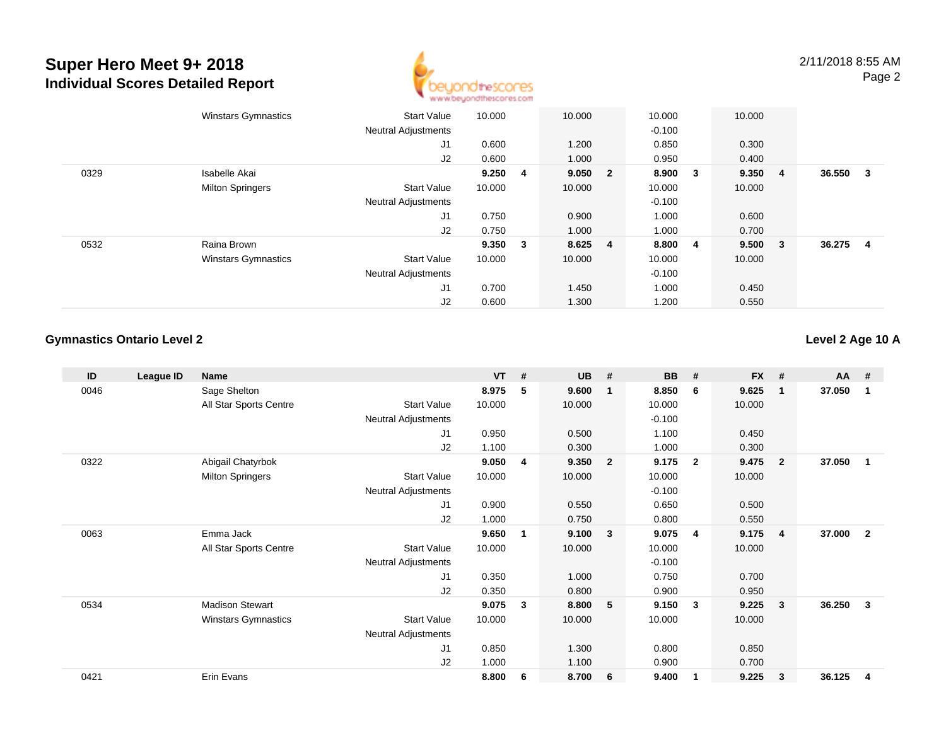

2/11/2018 8:55 AMPage 2

|      | <b>Winstars Gymnastics</b> | <b>Start Value</b><br><b>Neutral Adjustments</b> | 10.000  | 10.000  |                | 10.000<br>$-0.100$ |        | 10.000 |     |        |   |
|------|----------------------------|--------------------------------------------------|---------|---------|----------------|--------------------|--------|--------|-----|--------|---|
|      |                            | J <sub>1</sub>                                   | 0.600   | 1.200   |                | 0.850              |        | 0.300  |     |        |   |
|      |                            | J2                                               | 0.600   | 1.000   |                | 0.950              |        | 0.400  |     |        |   |
| 0329 | Isabelle Akai              |                                                  | 9.250 4 | 9.050 2 |                | 8.900              | $_{3}$ | 9.350  | -4  | 36.550 | 3 |
|      | <b>Milton Springers</b>    | <b>Start Value</b>                               | 10.000  | 10.000  |                | 10.000             |        | 10.000 |     |        |   |
|      |                            | <b>Neutral Adjustments</b>                       |         |         |                | $-0.100$           |        |        |     |        |   |
|      |                            | J1                                               | 0.750   | 0.900   |                | 1.000              |        | 0.600  |     |        |   |
|      |                            | J2                                               | 0.750   | 1.000   |                | 1.000              |        | 0.700  |     |        |   |
| 0532 | Raina Brown                |                                                  | 9.350 3 | 8.625   | $\overline{4}$ | 8.800              | 4      | 9.500  | - 3 | 36.275 | 4 |
|      | <b>Winstars Gymnastics</b> | <b>Start Value</b>                               | 10.000  | 10.000  |                | 10.000             |        | 10.000 |     |        |   |
|      |                            | <b>Neutral Adjustments</b>                       |         |         |                | $-0.100$           |        |        |     |        |   |
|      |                            | J <sub>1</sub>                                   | 0.700   | 1.450   |                | 1.000              |        | 0.450  |     |        |   |
|      |                            | J2                                               | 0.600   | 1.300   |                | 1.200              |        | 0.550  |     |        |   |

#### **Gymnastics Ontario Level 2**

**Level 2 Age 10 A**

| ID   | League ID | Name                       |                            | <b>VT</b> | # | <b>UB</b> | #                       | <b>BB</b> | #              | <b>FX</b> | #              | $AA$ # |                |
|------|-----------|----------------------------|----------------------------|-----------|---|-----------|-------------------------|-----------|----------------|-----------|----------------|--------|----------------|
| 0046 |           | Sage Shelton               |                            | 8.975     | 5 | 9.600     | $\mathbf{1}$            | 8.850     | 6              | 9.625     | $\mathbf 1$    | 37.050 | 1              |
|      |           | All Star Sports Centre     | <b>Start Value</b>         | 10.000    |   | 10.000    |                         | 10.000    |                | 10.000    |                |        |                |
|      |           |                            | <b>Neutral Adjustments</b> |           |   |           |                         | $-0.100$  |                |           |                |        |                |
|      |           |                            | J1                         | 0.950     |   | 0.500     |                         | 1.100     |                | 0.450     |                |        |                |
|      |           |                            | J2                         | 1.100     |   | 0.300     |                         | 1.000     |                | 0.300     |                |        |                |
| 0322 |           | Abigail Chatyrbok          |                            | 9.050     | 4 | 9.350     | $\overline{\mathbf{2}}$ | 9.175     | $\overline{2}$ | 9.475     | $\overline{2}$ | 37.050 | $\mathbf 1$    |
|      |           | <b>Milton Springers</b>    | <b>Start Value</b>         | 10.000    |   | 10.000    |                         | 10.000    |                | 10.000    |                |        |                |
|      |           |                            | Neutral Adjustments        |           |   |           |                         | $-0.100$  |                |           |                |        |                |
|      |           |                            | J <sub>1</sub>             | 0.900     |   | 0.550     |                         | 0.650     |                | 0.500     |                |        |                |
|      |           |                            | J2                         | 1.000     |   | 0.750     |                         | 0.800     |                | 0.550     |                |        |                |
| 0063 |           | Emma Jack                  |                            | 9.650     | 1 | 9.100     | $\mathbf{3}$            | 9.075     | $\overline{4}$ | 9.175     | $\overline{4}$ | 37.000 | $\overline{2}$ |
|      |           | All Star Sports Centre     | <b>Start Value</b>         | 10.000    |   | 10.000    |                         | 10.000    |                | 10.000    |                |        |                |
|      |           |                            | Neutral Adjustments        |           |   |           |                         | $-0.100$  |                |           |                |        |                |
|      |           |                            | J1                         | 0.350     |   | 1.000     |                         | 0.750     |                | 0.700     |                |        |                |
|      |           |                            | J2                         | 0.350     |   | 0.800     |                         | 0.900     |                | 0.950     |                |        |                |
| 0534 |           | <b>Madison Stewart</b>     |                            | 9.075     | 3 | 8.800     | 5 <sub>5</sub>          | 9.150     | -3             | 9.225     | 3              | 36.250 | 3              |
|      |           | <b>Winstars Gymnastics</b> | <b>Start Value</b>         | 10.000    |   | 10.000    |                         | 10.000    |                | 10.000    |                |        |                |
|      |           |                            | <b>Neutral Adjustments</b> |           |   |           |                         |           |                |           |                |        |                |
|      |           |                            | J1                         | 0.850     |   | 1.300     |                         | 0.800     |                | 0.850     |                |        |                |
|      |           |                            | J2                         | 1.000     |   | 1.100     |                         | 0.900     |                | 0.700     |                |        |                |
| 0421 |           | Erin Evans                 |                            | 8.800     | 6 | 8.700     | 6                       | 9.400     | -1             | 9.225     | 3              | 36.125 | 4              |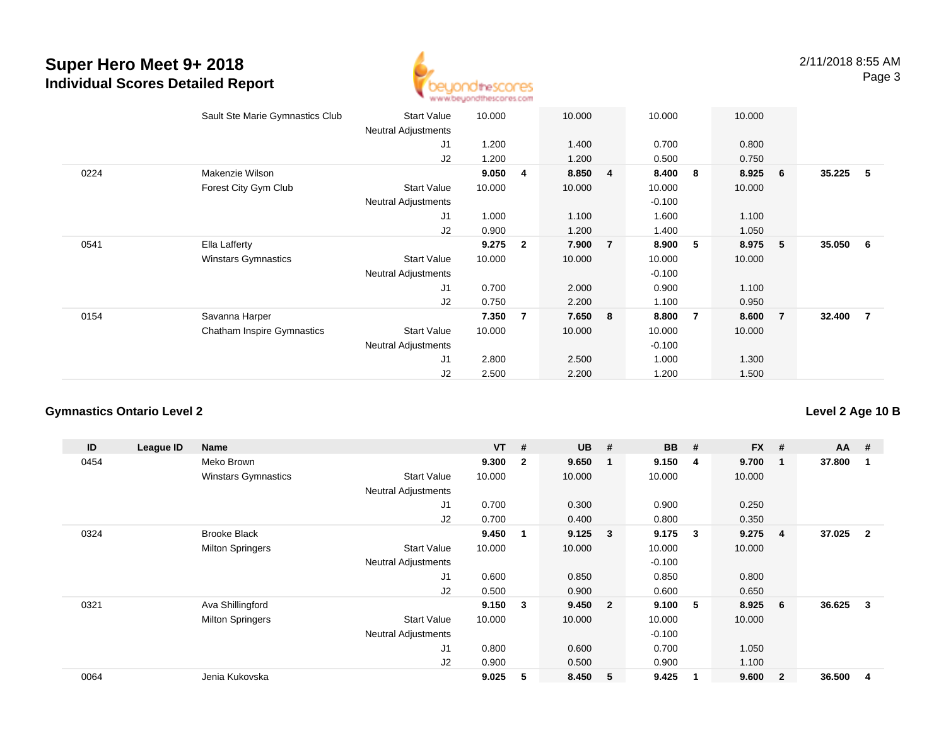

|      | Sault Ste Marie Gymnastics Club   | <b>Start Value</b><br><b>Neutral Adjustments</b> | 10.000 |                | 10.000  |   | 10.000   |                | 10.000 |                |          |                |
|------|-----------------------------------|--------------------------------------------------|--------|----------------|---------|---|----------|----------------|--------|----------------|----------|----------------|
|      |                                   | J1                                               | 1.200  |                | 1.400   |   | 0.700    |                | 0.800  |                |          |                |
|      |                                   | J2                                               | 1.200  |                | 1.200   |   | 0.500    |                | 0.750  |                |          |                |
| 0224 | Makenzie Wilson                   |                                                  | 9.050  | 4              | 8.850 4 |   | 8.400    | 8              | 8.925  | 6              | 35.225   | $-5$           |
|      | Forest City Gym Club              | <b>Start Value</b>                               | 10.000 |                | 10.000  |   | 10.000   |                | 10.000 |                |          |                |
|      |                                   | <b>Neutral Adjustments</b>                       |        |                |         |   | $-0.100$ |                |        |                |          |                |
|      |                                   | J1                                               | 1.000  |                | 1.100   |   | 1.600    |                | 1.100  |                |          |                |
|      |                                   | J2                                               | 0.900  |                | 1.200   |   | 1.400    |                | 1.050  |                |          |                |
| 0541 | Ella Lafferty                     |                                                  | 9.275  | $\overline{2}$ | 7.900   | 7 | 8.900    | 5              | 8.975  | - 5            | 35.050 6 |                |
|      | <b>Winstars Gymnastics</b>        | <b>Start Value</b>                               | 10.000 |                | 10.000  |   | 10.000   |                | 10.000 |                |          |                |
|      |                                   | <b>Neutral Adjustments</b>                       |        |                |         |   | $-0.100$ |                |        |                |          |                |
|      |                                   | J1                                               | 0.700  |                | 2.000   |   | 0.900    |                | 1.100  |                |          |                |
|      |                                   | J2                                               | 0.750  |                | 2.200   |   | 1.100    |                | 0.950  |                |          |                |
| 0154 | Savanna Harper                    |                                                  | 7.350  | 7              | 7.650 8 |   | 8.800    | $\overline{7}$ | 8.600  | $\overline{7}$ | 32.400   | $\overline{7}$ |
|      | <b>Chatham Inspire Gymnastics</b> | <b>Start Value</b>                               | 10.000 |                | 10.000  |   | 10.000   |                | 10.000 |                |          |                |
|      |                                   | <b>Neutral Adjustments</b>                       |        |                |         |   | $-0.100$ |                |        |                |          |                |
|      |                                   | J <sub>1</sub>                                   | 2.800  |                | 2.500   |   | 1.000    |                | 1.300  |                |          |                |
|      |                                   | J2                                               | 2.500  |                | 2.200   |   | 1.200    |                | 1.500  |                |          |                |

## **Gymnastics Ontario Level 2**

| ID   | League ID | <b>Name</b>                |                            | <b>VT</b> | #                       | <b>UB</b> | #                       | <b>BB</b> | #           | <b>FX</b> | #              | $AA$ # |                |
|------|-----------|----------------------------|----------------------------|-----------|-------------------------|-----------|-------------------------|-----------|-------------|-----------|----------------|--------|----------------|
| 0454 |           | Meko Brown                 |                            | 9.300     | $\overline{\mathbf{2}}$ | 9.650     | -1                      | 9.150     | 4           | 9.700     | 1              | 37.800 | 1              |
|      |           | <b>Winstars Gymnastics</b> | <b>Start Value</b>         | 10.000    |                         | 10.000    |                         | 10.000    |             | 10.000    |                |        |                |
|      |           |                            | <b>Neutral Adjustments</b> |           |                         |           |                         |           |             |           |                |        |                |
|      |           |                            | J <sub>1</sub>             | 0.700     |                         | 0.300     |                         | 0.900     |             | 0.250     |                |        |                |
|      |           |                            | J <sub>2</sub>             | 0.700     |                         | 0.400     |                         | 0.800     |             | 0.350     |                |        |                |
| 0324 |           | <b>Brooke Black</b>        |                            | 9.450     | $\mathbf{1}$            | 9.125     | -3                      | 9.175     | 3           | 9.275     | 4              | 37.025 | $\overline{2}$ |
|      |           | <b>Milton Springers</b>    | <b>Start Value</b>         | 10.000    |                         | 10.000    |                         | 10.000    |             | 10.000    |                |        |                |
|      |           |                            | <b>Neutral Adjustments</b> |           |                         |           |                         | $-0.100$  |             |           |                |        |                |
|      |           |                            | J <sub>1</sub>             | 0.600     |                         | 0.850     |                         | 0.850     |             | 0.800     |                |        |                |
|      |           |                            | J2                         | 0.500     |                         | 0.900     |                         | 0.600     |             | 0.650     |                |        |                |
| 0321 |           | Ava Shillingford           |                            | 9.150     | $\overline{\mathbf{3}}$ | 9.450     | $\overline{\mathbf{2}}$ | 9.100     | 5           | 8.925     | 6              | 36.625 | 3              |
|      |           | <b>Milton Springers</b>    | <b>Start Value</b>         | 10.000    |                         | 10.000    |                         | 10.000    |             | 10.000    |                |        |                |
|      |           |                            | <b>Neutral Adjustments</b> |           |                         |           |                         | $-0.100$  |             |           |                |        |                |
|      |           |                            | J <sub>1</sub>             | 0.800     |                         | 0.600     |                         | 0.700     |             | 1.050     |                |        |                |
|      |           |                            | J2                         | 0.900     |                         | 0.500     |                         | 0.900     |             | 1.100     |                |        |                |
| 0064 |           | Jenia Kukovska             |                            | 9.025     | 5                       | 8.450     | -5                      | 9.425     | $\mathbf 1$ | 9.600     | $\overline{2}$ | 36.500 | 4              |

## **Level 2 Age 10 B**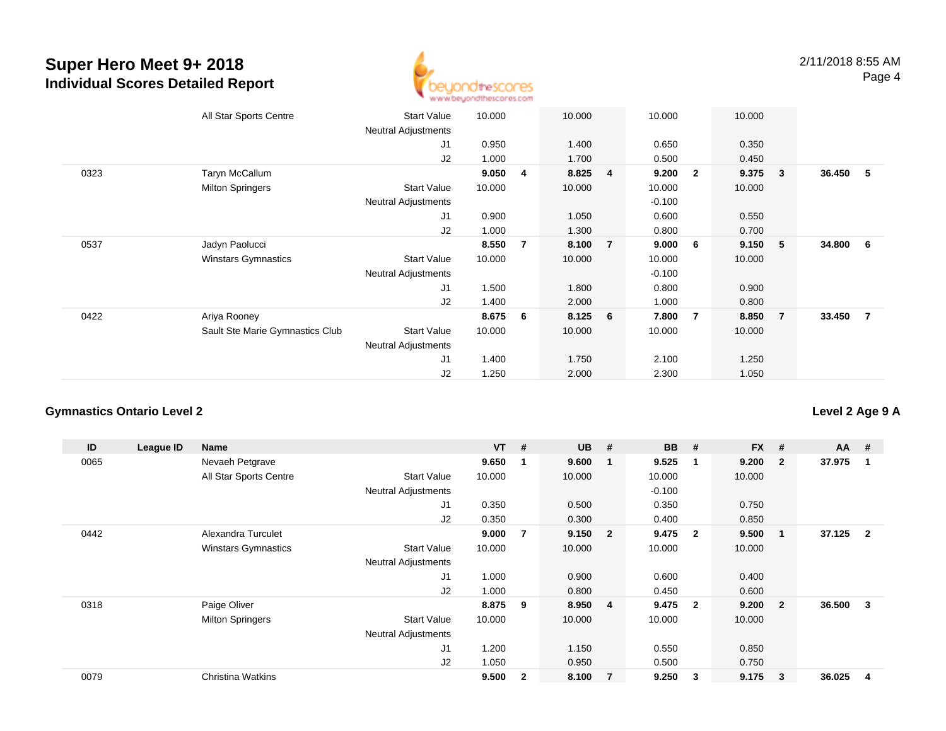

|      | All Star Sports Centre          | <b>Start Value</b><br><b>Neutral Adjustments</b> | 10.000 |                | 10.000 |                 | 10.000   |                | 10.000 |                |          |                |
|------|---------------------------------|--------------------------------------------------|--------|----------------|--------|-----------------|----------|----------------|--------|----------------|----------|----------------|
|      |                                 | J1                                               | 0.950  |                | 1.400  |                 | 0.650    |                | 0.350  |                |          |                |
|      |                                 | J <sub>2</sub>                                   | 1.000  |                | 1.700  |                 | 0.500    |                | 0.450  |                |          |                |
| 0323 | Taryn McCallum                  |                                                  | 9.050  | 4              | 8.825  | $\overline{4}$  | 9.200    | $\mathbf{2}$   | 9.375  | 3 <sup>o</sup> | 36.450 5 |                |
|      | <b>Milton Springers</b>         | <b>Start Value</b>                               | 10.000 |                | 10.000 |                 | 10.000   |                | 10.000 |                |          |                |
|      |                                 | <b>Neutral Adjustments</b>                       |        |                |        |                 | $-0.100$ |                |        |                |          |                |
|      |                                 | J1                                               | 0.900  |                | 1.050  |                 | 0.600    |                | 0.550  |                |          |                |
|      |                                 | J2                                               | 1.000  |                | 1.300  |                 | 0.800    |                | 0.700  |                |          |                |
| 0537 | Jadyn Paolucci                  |                                                  | 8.550  | $\overline{7}$ | 8.100  | $\overline{7}$  | 9.000    | 6              | 9.150  | 5 <sub>2</sub> | 34.800 6 |                |
|      | <b>Winstars Gymnastics</b>      | <b>Start Value</b>                               | 10.000 |                | 10.000 |                 | 10.000   |                | 10.000 |                |          |                |
|      |                                 | <b>Neutral Adjustments</b>                       |        |                |        |                 | $-0.100$ |                |        |                |          |                |
|      |                                 | J1                                               | 1.500  |                | 1.800  |                 | 0.800    |                | 0.900  |                |          |                |
|      |                                 | J2                                               | 1.400  |                | 2.000  |                 | 1.000    |                | 0.800  |                |          |                |
| 0422 | Ariya Rooney                    |                                                  | 8.675  | 6              | 8.125  | $6\overline{6}$ | 7.800    | $\overline{7}$ | 8.850  | $\overline{7}$ | 33.450   | $\overline{7}$ |
|      | Sault Ste Marie Gymnastics Club | <b>Start Value</b>                               | 10.000 |                | 10.000 |                 | 10.000   |                | 10.000 |                |          |                |
|      |                                 | <b>Neutral Adjustments</b>                       |        |                |        |                 |          |                |        |                |          |                |
|      |                                 | J <sub>1</sub>                                   | 1.400  |                | 1.750  |                 | 2.100    |                | 1.250  |                |          |                |
|      |                                 | J2                                               | 1.250  |                | 2.000  |                 | 2.300    |                | 1.050  |                |          |                |

#### **Gymnastics Ontario Level 2**

**ID League ID Name VT # UB # BB # FX # AA #** 0065 Nevaeh Petgrave **9.650 <sup>1</sup> 9.600 <sup>1</sup> 9.525 <sup>1</sup> 9.200 <sup>2</sup> 37.975 <sup>1</sup>** All Star Sports Centre Start Value 10.000 10.000 10.000 10.000 Neutral Adjustments $-0.100$ 0.350 J1 0.350 0.500 0.350 0.750 J2 0.350 0.300 0.400 0.850 0442 Alexandra Turculet **9.000 <sup>7</sup> 9.150 <sup>2</sup> 9.475 <sup>2</sup> 9.500 <sup>1</sup> 37.125 <sup>2</sup>** Winstars Gymnastics Start Valuee 10.000 10.000 10.000 10.000 Neutral Adjustments J1 1.000 0.900 0.600 0.400 J2 1.000 0.800 0.450 0.600 0318 Paige Oliver **8.875 <sup>9</sup> 8.950 <sup>4</sup> 9.475 <sup>2</sup> 9.200 <sup>2</sup> 36.500 <sup>3</sup>** Milton Springers Start Valuee 10.000 10.000 10.000 10.000 Neutral Adjustments J1 1.200 1.150 0.550 0.850 J2 1.050 0.950 0.500 0.750 0079Christina Watkins **9.500 <sup>2</sup> 8.100 <sup>7</sup> 9.250 <sup>3</sup> 9.175 <sup>3</sup> 36.025 <sup>4</sup>**

**Level 2 Age 9 A**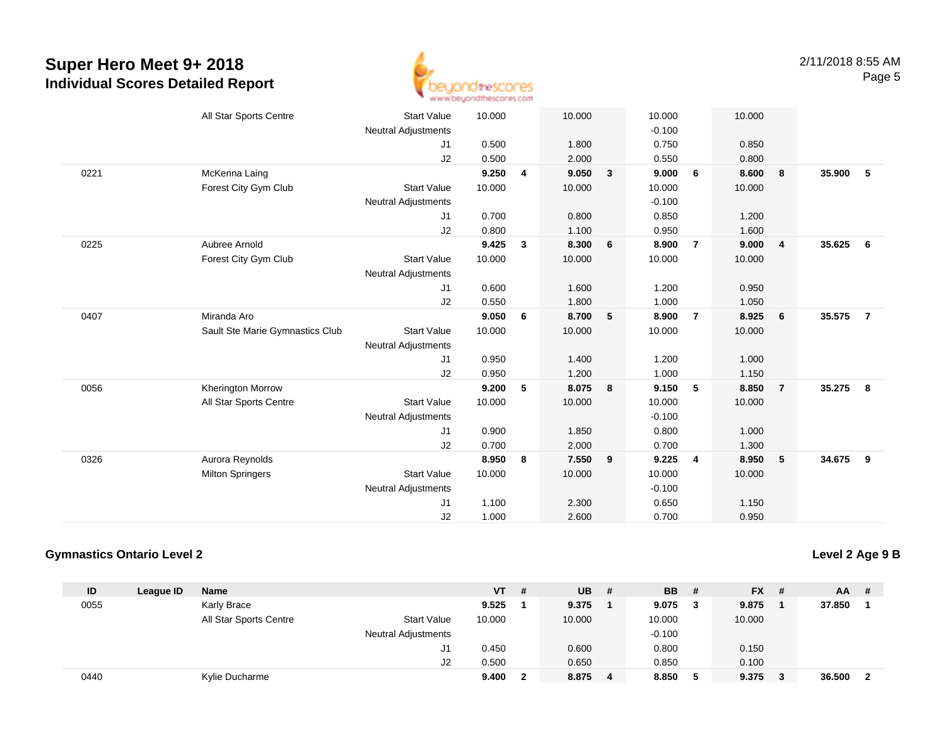

|      | All Star Sports Centre          | <b>Start Value</b>         | 10.000 |   | 10.000 |   | 10.000   |                | 10.000 |                         |        |                |
|------|---------------------------------|----------------------------|--------|---|--------|---|----------|----------------|--------|-------------------------|--------|----------------|
|      |                                 | Neutral Adjustments        |        |   |        |   | $-0.100$ |                |        |                         |        |                |
|      |                                 | J1                         | 0.500  |   | 1.800  |   | 0.750    |                | 0.850  |                         |        |                |
|      |                                 | J2                         | 0.500  |   | 2.000  |   | 0.550    |                | 0.800  |                         |        |                |
| 0221 | McKenna Laing                   |                            | 9.250  | 4 | 9.050  | 3 | 9.000    | 6              | 8.600  | 8                       | 35.900 | 5              |
|      | Forest City Gym Club            | <b>Start Value</b>         | 10.000 |   | 10.000 |   | 10.000   |                | 10.000 |                         |        |                |
|      |                                 | <b>Neutral Adjustments</b> |        |   |        |   | $-0.100$ |                |        |                         |        |                |
|      |                                 | J1                         | 0.700  |   | 0.800  |   | 0.850    |                | 1.200  |                         |        |                |
|      |                                 | J2                         | 0.800  |   | 1.100  |   | 0.950    |                | 1.600  |                         |        |                |
| 0225 | Aubree Arnold                   |                            | 9.425  | 3 | 8.300  | 6 | 8.900    | $\overline{7}$ | 9.000  | $\overline{\mathbf{4}}$ | 35.625 | 6              |
|      | Forest City Gym Club            | <b>Start Value</b>         | 10.000 |   | 10.000 |   | 10.000   |                | 10.000 |                         |        |                |
|      |                                 | <b>Neutral Adjustments</b> |        |   |        |   |          |                |        |                         |        |                |
|      |                                 | J1                         | 0.600  |   | 1.600  |   | 1.200    |                | 0.950  |                         |        |                |
|      |                                 | J2                         | 0.550  |   | 1.800  |   | 1.000    |                | 1.050  |                         |        |                |
| 0407 | Miranda Aro                     |                            | 9.050  | 6 | 8.700  | 5 | 8.900    | $\overline{7}$ | 8.925  | 6                       | 35.575 | $\overline{7}$ |
|      | Sault Ste Marie Gymnastics Club | <b>Start Value</b>         | 10.000 |   | 10.000 |   | 10.000   |                | 10.000 |                         |        |                |
|      |                                 | <b>Neutral Adjustments</b> |        |   |        |   |          |                |        |                         |        |                |
|      |                                 | J1                         | 0.950  |   | 1.400  |   | 1.200    |                | 1.000  |                         |        |                |
|      |                                 | J <sub>2</sub>             | 0.950  |   | 1.200  |   | 1.000    |                | 1.150  |                         |        |                |
| 0056 | <b>Kherington Morrow</b>        |                            | 9.200  | 5 | 8.075  | 8 | 9.150    | 5              | 8.850  | $\overline{7}$          | 35.275 | 8              |
|      | All Star Sports Centre          | <b>Start Value</b>         | 10.000 |   | 10.000 |   | 10.000   |                | 10.000 |                         |        |                |
|      |                                 | <b>Neutral Adjustments</b> |        |   |        |   | $-0.100$ |                |        |                         |        |                |
|      |                                 | J1                         | 0.900  |   | 1.850  |   | 0.800    |                | 1.000  |                         |        |                |
|      |                                 | J2                         | 0.700  |   | 2.000  |   | 0.700    |                | 1.300  |                         |        |                |
| 0326 | Aurora Reynolds                 |                            | 8.950  | 8 | 7.550  | 9 | 9.225    | $\overline{4}$ | 8.950  | $-5$                    | 34.675 | - 9            |
|      | <b>Milton Springers</b>         | <b>Start Value</b>         | 10.000 |   | 10.000 |   | 10.000   |                | 10.000 |                         |        |                |
|      |                                 | <b>Neutral Adjustments</b> |        |   |        |   | $-0.100$ |                |        |                         |        |                |
|      |                                 | J <sub>1</sub>             | 1.100  |   | 2.300  |   | 0.650    |                | 1.150  |                         |        |                |
|      |                                 | J2                         | 1.000  |   | 2.600  |   | 0.700    |                | 0.950  |                         |        |                |
|      |                                 |                            |        |   |        |   |          |                |        |                         |        |                |

#### **Gymnastics Ontario Level 2**

**Level 2 Age 9 B**

| ID   | League ID | <b>Name</b>            |                            | VT     | # | <b>UB</b> | -# | <b>BB</b> | $\overline{H}$ | $FX$ # | AA.    | - # |
|------|-----------|------------------------|----------------------------|--------|---|-----------|----|-----------|----------------|--------|--------|-----|
| 0055 |           | Karly Brace            |                            | 9.525  |   | 9.375     |    | 9.075     |                | 9.875  | 37.850 |     |
|      |           | All Star Sports Centre | <b>Start Value</b>         | 10.000 |   | 10.000    |    | 10.000    |                | 10.000 |        |     |
|      |           |                        | <b>Neutral Adjustments</b> |        |   |           |    | $-0.100$  |                |        |        |     |
|      |           |                        | J1                         | 0.450  |   | 0.600     |    | 0.800     |                | 0.150  |        |     |
|      |           |                        | J2                         | 0.500  |   | 0.650     |    | 0.850     |                | 0.100  |        |     |
| 0440 |           | Kylie Ducharme         |                            | 9.400  |   | 8.875     | 4  | 8.850     | 5              | 9.375  | 36.500 | - 2 |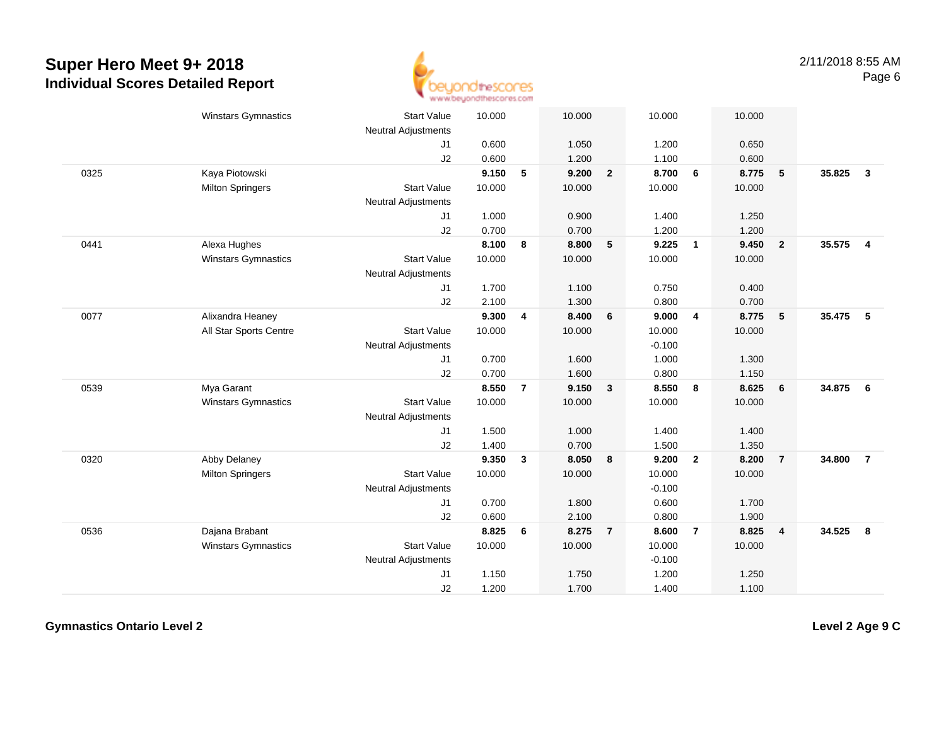

|      | <b>Winstars Gymnastics</b> | <b>Start Value</b><br><b>Neutral Adjustments</b> | 10.000 |                | 10.000 |                | 10.000   |                | 10.000 |                         |        |                         |
|------|----------------------------|--------------------------------------------------|--------|----------------|--------|----------------|----------|----------------|--------|-------------------------|--------|-------------------------|
|      |                            | J <sub>1</sub>                                   | 0.600  |                | 1.050  |                | 1.200    |                | 0.650  |                         |        |                         |
|      |                            | J2                                               | 0.600  |                | 1.200  |                | 1.100    |                | 0.600  |                         |        |                         |
| 0325 | Kaya Piotowski             |                                                  | 9.150  | 5              | 9.200  | $\overline{2}$ | 8.700    | 6              | 8.775  | 5                       | 35.825 | $\mathbf{3}$            |
|      | <b>Milton Springers</b>    | <b>Start Value</b>                               | 10.000 |                | 10.000 |                | 10.000   |                | 10.000 |                         |        |                         |
|      |                            | <b>Neutral Adjustments</b>                       |        |                |        |                |          |                |        |                         |        |                         |
|      |                            | J1                                               | 1.000  |                | 0.900  |                | 1.400    |                | 1.250  |                         |        |                         |
|      |                            | J2                                               | 0.700  |                | 0.700  |                | 1.200    |                | 1.200  |                         |        |                         |
| 0441 | Alexa Hughes               |                                                  | 8.100  | 8              | 8.800  | 5              | 9.225    | $\overline{1}$ | 9.450  | $\overline{\mathbf{2}}$ | 35.575 | $\overline{\mathbf{4}}$ |
|      | Winstars Gymnastics        | <b>Start Value</b>                               | 10.000 |                | 10.000 |                | 10.000   |                | 10.000 |                         |        |                         |
|      |                            | <b>Neutral Adjustments</b>                       |        |                |        |                |          |                |        |                         |        |                         |
|      |                            | J1                                               | 1.700  |                | 1.100  |                | 0.750    |                | 0.400  |                         |        |                         |
|      |                            | J2                                               | 2.100  |                | 1.300  |                | 0.800    |                | 0.700  |                         |        |                         |
| 0077 | Alixandra Heaney           |                                                  | 9.300  | 4              | 8.400  | 6              | 9.000    | $\overline{4}$ | 8.775  | 5                       | 35.475 | 5                       |
|      | All Star Sports Centre     | <b>Start Value</b>                               | 10.000 |                | 10.000 |                | 10.000   |                | 10.000 |                         |        |                         |
|      |                            | <b>Neutral Adjustments</b>                       |        |                |        |                | $-0.100$ |                |        |                         |        |                         |
|      |                            | J <sub>1</sub>                                   | 0.700  |                | 1.600  |                | 1.000    |                | 1.300  |                         |        |                         |
|      |                            | J2                                               | 0.700  |                | 1.600  |                | 0.800    |                | 1.150  |                         |        |                         |
| 0539 | Mya Garant                 |                                                  | 8.550  | $\overline{7}$ | 9.150  | $\mathbf{3}$   | 8.550    | 8              | 8.625  | 6                       | 34.875 | 6                       |
|      | Winstars Gymnastics        | <b>Start Value</b>                               | 10.000 |                | 10.000 |                | 10.000   |                | 10.000 |                         |        |                         |
|      |                            | <b>Neutral Adjustments</b>                       |        |                |        |                |          |                |        |                         |        |                         |
|      |                            | J <sub>1</sub>                                   | 1.500  |                | 1.000  |                | 1.400    |                | 1.400  |                         |        |                         |
|      |                            | J2                                               | 1.400  |                | 0.700  |                | 1.500    |                | 1.350  |                         |        |                         |
| 0320 | Abby Delaney               |                                                  | 9.350  | 3              | 8.050  | 8              | 9.200    | $\overline{2}$ | 8.200  | $\overline{7}$          | 34.800 | $\overline{7}$          |
|      | <b>Milton Springers</b>    | <b>Start Value</b>                               | 10.000 |                | 10.000 |                | 10.000   |                | 10.000 |                         |        |                         |
|      |                            | Neutral Adjustments                              |        |                |        |                | $-0.100$ |                |        |                         |        |                         |
|      |                            | J1                                               | 0.700  |                | 1.800  |                | 0.600    |                | 1.700  |                         |        |                         |
|      |                            | J2                                               | 0.600  |                | 2.100  |                | 0.800    |                | 1.900  |                         |        |                         |
| 0536 | Dajana Brabant             |                                                  | 8.825  | 6              | 8.275  | $\overline{7}$ | 8.600    | $\overline{7}$ | 8.825  | $\overline{4}$          | 34.525 | 8                       |
|      | Winstars Gymnastics        | <b>Start Value</b>                               | 10.000 |                | 10.000 |                | 10.000   |                | 10.000 |                         |        |                         |
|      |                            | <b>Neutral Adjustments</b>                       |        |                |        |                | $-0.100$ |                |        |                         |        |                         |
|      |                            | J1                                               | 1.150  |                | 1.750  |                | 1.200    |                | 1.250  |                         |        |                         |
|      |                            | J2                                               | 1.200  |                | 1.700  |                | 1.400    |                | 1.100  |                         |        |                         |

**Gymnastics Ontario Level 2**

**Level 2 Age 9 C**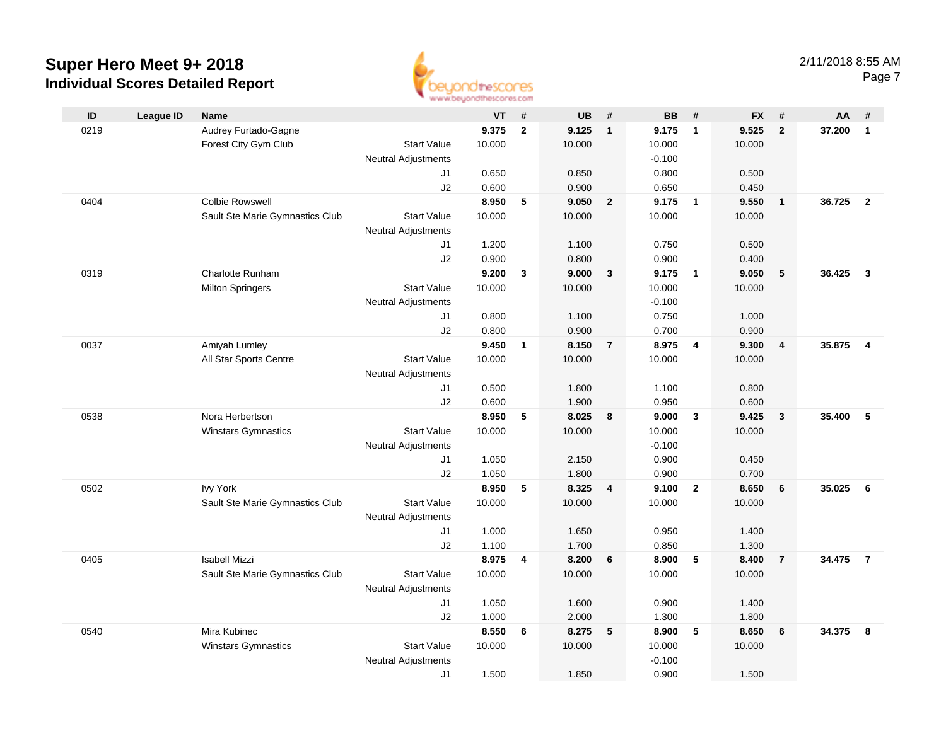

| ID   | <b>League ID</b> | <b>Name</b>                     |                            | <b>VT</b>      | #              | <b>UB</b>      | #                       | <b>BB</b>      | #                       | <b>FX</b>      | #              | AA     | #                       |
|------|------------------|---------------------------------|----------------------------|----------------|----------------|----------------|-------------------------|----------------|-------------------------|----------------|----------------|--------|-------------------------|
| 0219 |                  | Audrey Furtado-Gagne            |                            | 9.375          | $\mathbf{2}$   | 9.125          | $\overline{\mathbf{1}}$ | 9.175          | $\overline{\mathbf{1}}$ | 9.525          | $\overline{2}$ | 37.200 | $\mathbf{1}$            |
|      |                  | Forest City Gym Club            | <b>Start Value</b>         | 10.000         |                | 10.000         |                         | 10.000         |                         | 10.000         |                |        |                         |
|      |                  |                                 | <b>Neutral Adjustments</b> |                |                |                |                         | $-0.100$       |                         |                |                |        |                         |
|      |                  |                                 | J1                         | 0.650          |                | 0.850          |                         | 0.800          |                         | 0.500          |                |        |                         |
|      |                  |                                 | J2                         | 0.600          |                | 0.900          |                         | 0.650          |                         | 0.450          |                |        |                         |
| 0404 |                  | <b>Colbie Rowswell</b>          |                            | 8.950          | 5              | 9.050          | $\overline{2}$          | 9.175          | $\overline{1}$          | 9.550          | $\overline{1}$ | 36.725 | $\overline{2}$          |
|      |                  | Sault Ste Marie Gymnastics Club | <b>Start Value</b>         | 10.000         |                | 10.000         |                         | 10.000         |                         | 10.000         |                |        |                         |
|      |                  |                                 | <b>Neutral Adjustments</b> |                |                |                |                         |                |                         |                |                |        |                         |
|      |                  |                                 | J1                         | 1.200          |                | 1.100          |                         | 0.750          |                         | 0.500          |                |        |                         |
|      |                  |                                 | J2                         | 0.900          |                | 0.800          |                         | 0.900          |                         | 0.400          |                |        |                         |
| 0319 |                  | Charlotte Runham                |                            | 9.200          | $\mathbf{3}$   | 9.000          | $\mathbf{3}$            | 9.175          | $\overline{1}$          | 9.050          | 5              | 36.425 | $\overline{\mathbf{3}}$ |
|      |                  | <b>Milton Springers</b>         | <b>Start Value</b>         | 10.000         |                | 10.000         |                         | 10.000         |                         | 10.000         |                |        |                         |
|      |                  |                                 | <b>Neutral Adjustments</b> |                |                |                |                         | $-0.100$       |                         |                |                |        |                         |
|      |                  |                                 | J1                         | 0.800          |                | 1.100          |                         | 0.750          |                         | 1.000          |                |        |                         |
|      |                  |                                 | J2                         | 0.800          |                | 0.900          |                         | 0.700          |                         | 0.900          |                |        |                         |
| 0037 |                  | Amiyah Lumley                   |                            | 9.450          | $\mathbf{1}$   | 8.150          | $\overline{7}$          | 8.975          | $\overline{4}$          | 9.300          | $\overline{4}$ | 35.875 | $\overline{4}$          |
|      |                  | All Star Sports Centre          | <b>Start Value</b>         | 10.000         |                | 10.000         |                         | 10.000         |                         | 10.000         |                |        |                         |
|      |                  |                                 | <b>Neutral Adjustments</b> |                |                |                |                         |                |                         |                |                |        |                         |
|      |                  |                                 | J1                         | 0.500          |                | 1.800          |                         | 1.100          |                         | 0.800          |                |        |                         |
| 0538 |                  | Nora Herbertson                 | J2                         | 0.600<br>8.950 | 5              | 1.900<br>8.025 | 8                       | 0.950<br>9.000 | $\mathbf{3}$            | 0.600<br>9.425 | $\mathbf{3}$   | 35.400 | 5                       |
|      |                  | <b>Winstars Gymnastics</b>      | <b>Start Value</b>         | 10.000         |                | 10.000         |                         | 10.000         |                         | 10.000         |                |        |                         |
|      |                  |                                 | <b>Neutral Adjustments</b> |                |                |                |                         | $-0.100$       |                         |                |                |        |                         |
|      |                  |                                 | J1                         | 1.050          |                | 2.150          |                         | 0.900          |                         | 0.450          |                |        |                         |
|      |                  |                                 | J2                         | 1.050          |                | 1.800          |                         | 0.900          |                         | 0.700          |                |        |                         |
| 0502 |                  | <b>Ivy York</b>                 |                            | 8.950          | 5              | 8.325          | $\overline{4}$          | 9.100          | $\overline{2}$          | 8.650          | 6              | 35.025 | 6                       |
|      |                  | Sault Ste Marie Gymnastics Club | <b>Start Value</b>         | 10.000         |                | 10.000         |                         | 10.000         |                         | 10.000         |                |        |                         |
|      |                  |                                 | <b>Neutral Adjustments</b> |                |                |                |                         |                |                         |                |                |        |                         |
|      |                  |                                 | J1                         | 1.000          |                | 1.650          |                         | 0.950          |                         | 1.400          |                |        |                         |
|      |                  |                                 | J2                         | 1.100          |                | 1.700          |                         | 0.850          |                         | 1.300          |                |        |                         |
| 0405 |                  | <b>Isabell Mizzi</b>            |                            | 8.975          | $\overline{4}$ | 8.200          | 6                       | 8.900          | 5                       | 8.400          | $\overline{7}$ | 34.475 | $\overline{7}$          |
|      |                  | Sault Ste Marie Gymnastics Club | <b>Start Value</b>         | 10.000         |                | 10.000         |                         | 10.000         |                         | 10.000         |                |        |                         |
|      |                  |                                 | <b>Neutral Adjustments</b> |                |                |                |                         |                |                         |                |                |        |                         |
|      |                  |                                 | J1                         | 1.050          |                | 1.600          |                         | 0.900          |                         | 1.400          |                |        |                         |
|      |                  |                                 | J2                         | 1.000          |                | 2.000          |                         | 1.300          |                         | 1.800          |                |        |                         |
| 0540 |                  | Mira Kubinec                    |                            | 8.550          | 6              | 8.275          | 5                       | 8.900          | 5                       | 8.650          | 6              | 34.375 | 8                       |
|      |                  | <b>Winstars Gymnastics</b>      | <b>Start Value</b>         | 10.000         |                | 10.000         |                         | 10.000         |                         | 10.000         |                |        |                         |
|      |                  |                                 | <b>Neutral Adjustments</b> |                |                |                |                         | $-0.100$       |                         |                |                |        |                         |
|      |                  |                                 | J1                         | 1.500          |                | 1.850          |                         | 0.900          |                         | 1.500          |                |        |                         |
|      |                  |                                 |                            |                |                |                |                         |                |                         |                |                |        |                         |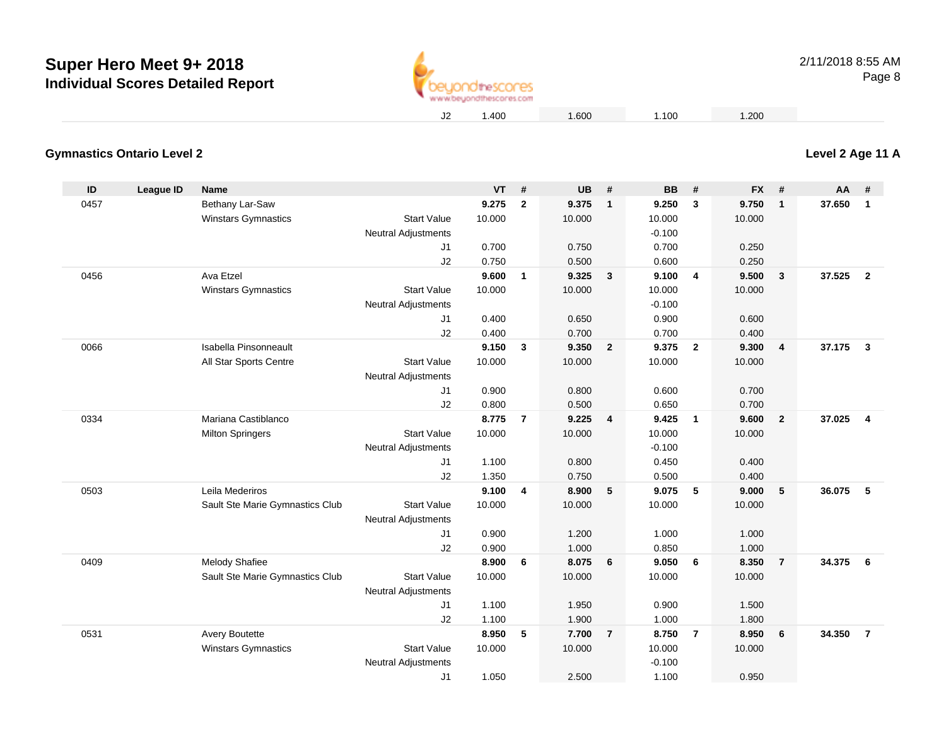

#### **Gymnastics Ontario Level 2**

| ID   | <b>League ID</b> | <b>Name</b>                     |                                                  | <b>VT</b> | #              | <b>UB</b> | #                       | <b>BB</b> | #              | <b>FX</b> | #              | <b>AA</b> | #                       |
|------|------------------|---------------------------------|--------------------------------------------------|-----------|----------------|-----------|-------------------------|-----------|----------------|-----------|----------------|-----------|-------------------------|
| 0457 |                  | Bethany Lar-Saw                 |                                                  | 9.275     | $\mathbf{2}$   | 9.375     | $\overline{1}$          | 9.250     | 3              | 9.750     | $\mathbf{1}$   | 37.650    | $\mathbf{1}$            |
|      |                  | <b>Winstars Gymnastics</b>      | <b>Start Value</b>                               | 10.000    |                | 10.000    |                         | 10.000    |                | 10.000    |                |           |                         |
|      |                  |                                 | <b>Neutral Adjustments</b>                       |           |                |           |                         | $-0.100$  |                |           |                |           |                         |
|      |                  |                                 | J1                                               | 0.700     |                | 0.750     |                         | 0.700     |                | 0.250     |                |           |                         |
|      |                  |                                 | J2                                               | 0.750     |                | 0.500     |                         | 0.600     |                | 0.250     |                |           |                         |
| 0456 |                  | Ava Etzel                       |                                                  | 9.600     | $\mathbf{1}$   | 9.325     | $\mathbf{3}$            | 9.100     | $\overline{4}$ | 9.500     | 3              | 37.525    | $\overline{2}$          |
|      |                  | <b>Winstars Gymnastics</b>      | <b>Start Value</b>                               | 10.000    |                | 10.000    |                         | 10.000    |                | 10.000    |                |           |                         |
|      |                  |                                 | <b>Neutral Adjustments</b>                       |           |                |           |                         | $-0.100$  |                |           |                |           |                         |
|      |                  |                                 | J1                                               | 0.400     |                | 0.650     |                         | 0.900     |                | 0.600     |                |           |                         |
|      |                  |                                 | J2                                               | 0.400     |                | 0.700     |                         | 0.700     |                | 0.400     |                |           |                         |
| 0066 |                  | Isabella Pinsonneault           |                                                  | 9.150     | $\mathbf{3}$   | 9.350     | $\overline{\mathbf{2}}$ | 9.375     | $\overline{2}$ | 9.300     | 4              | 37.175    | $\mathbf{3}$            |
|      |                  | All Star Sports Centre          | <b>Start Value</b>                               | 10.000    |                | 10.000    |                         | 10.000    |                | 10.000    |                |           |                         |
|      |                  |                                 | <b>Neutral Adjustments</b>                       |           |                |           |                         |           |                |           |                |           |                         |
|      |                  |                                 | J1                                               | 0.900     |                | 0.800     |                         | 0.600     |                | 0.700     |                |           |                         |
|      |                  |                                 | J2                                               | 0.800     |                | 0.500     |                         | 0.650     |                | 0.700     |                |           |                         |
| 0334 |                  | Mariana Castiblanco             |                                                  | 8.775     | $\overline{7}$ | 9.225     | $\overline{4}$          | 9.425     | $\overline{1}$ | 9.600     | $\overline{2}$ | 37.025    | $\overline{\mathbf{4}}$ |
|      |                  | <b>Milton Springers</b>         | <b>Start Value</b>                               | 10.000    |                | 10.000    |                         | 10.000    |                | 10.000    |                |           |                         |
|      |                  |                                 | <b>Neutral Adjustments</b>                       |           |                |           |                         | $-0.100$  |                |           |                |           |                         |
|      |                  |                                 | J1                                               | 1.100     |                | 0.800     |                         | 0.450     |                | 0.400     |                |           |                         |
|      |                  |                                 | J2                                               | 1.350     |                | 0.750     |                         | 0.500     |                | 0.400     |                |           |                         |
| 0503 |                  | Leila Mederiros                 |                                                  | 9.100     | 4              | 8.900     | 5                       | 9.075     | 5              | 9.000     | 5              | 36.075    | 5                       |
|      |                  | Sault Ste Marie Gymnastics Club | <b>Start Value</b><br><b>Neutral Adjustments</b> | 10.000    |                | 10.000    |                         | 10.000    |                | 10.000    |                |           |                         |
|      |                  |                                 | J <sub>1</sub>                                   | 0.900     |                | 1.200     |                         | 1.000     |                | 1.000     |                |           |                         |
|      |                  |                                 | J2                                               | 0.900     |                | 1.000     |                         | 0.850     |                | 1.000     |                |           |                         |
| 0409 |                  | <b>Melody Shafiee</b>           |                                                  | 8.900     | 6              | 8.075     | $6\phantom{1}6$         | 9.050     | 6              | 8.350     | $\overline{7}$ | 34.375    | 6                       |
|      |                  | Sault Ste Marie Gymnastics Club | <b>Start Value</b>                               | 10.000    |                | 10.000    |                         | 10.000    |                | 10.000    |                |           |                         |
|      |                  |                                 | <b>Neutral Adjustments</b>                       |           |                |           |                         |           |                |           |                |           |                         |
|      |                  |                                 | J1                                               | 1.100     |                | 1.950     |                         | 0.900     |                | 1.500     |                |           |                         |
|      |                  |                                 | J2                                               | 1.100     |                | 1.900     |                         | 1.000     |                | 1.800     |                |           |                         |
| 0531 |                  | <b>Avery Boutette</b>           |                                                  | 8.950     | 5              | 7.700     | $\overline{7}$          | 8.750     | $\overline{7}$ | 8.950     | 6              | 34.350    | $\overline{7}$          |
|      |                  | <b>Winstars Gymnastics</b>      | <b>Start Value</b>                               | 10.000    |                | 10.000    |                         | 10.000    |                | 10.000    |                |           |                         |
|      |                  |                                 | <b>Neutral Adjustments</b>                       |           |                |           |                         | $-0.100$  |                |           |                |           |                         |
|      |                  |                                 | J <sub>1</sub>                                   | 1.050     |                | 2.500     |                         | 1.100     |                | 0.950     |                |           |                         |

## **Level 2 Age 11 A**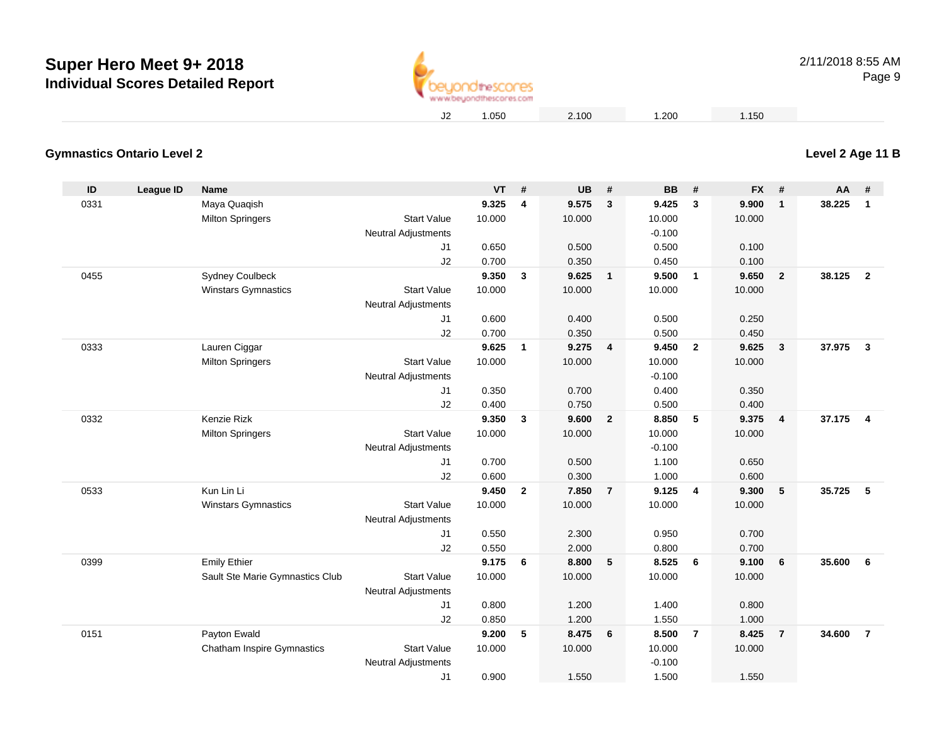

## **Level 2 Age 11 B**

#### **Gymnastics Ontario Level 2**

| ID   | <b>League ID</b> | <b>Name</b>                       |                                                  | <b>VT</b> | #            | <b>UB</b> | #                       | <b>BB</b> | #              | <b>FX</b> | #                       | AA     | #                       |
|------|------------------|-----------------------------------|--------------------------------------------------|-----------|--------------|-----------|-------------------------|-----------|----------------|-----------|-------------------------|--------|-------------------------|
| 0331 |                  | Maya Quaqish                      |                                                  | 9.325     | 4            | 9.575     | $\overline{\mathbf{3}}$ | 9.425     | 3              | 9.900     | $\mathbf{1}$            | 38.225 | $\mathbf{1}$            |
|      |                  | <b>Milton Springers</b>           | <b>Start Value</b>                               | 10.000    |              | 10.000    |                         | 10.000    |                | 10.000    |                         |        |                         |
|      |                  |                                   | Neutral Adjustments                              |           |              |           |                         | $-0.100$  |                |           |                         |        |                         |
|      |                  |                                   | J <sub>1</sub>                                   | 0.650     |              | 0.500     |                         | 0.500     |                | 0.100     |                         |        |                         |
|      |                  |                                   | J2                                               | 0.700     |              | 0.350     |                         | 0.450     |                | 0.100     |                         |        |                         |
| 0455 |                  | <b>Sydney Coulbeck</b>            |                                                  | 9.350     | 3            | 9.625     | $\overline{1}$          | 9.500     | $\mathbf{1}$   | 9.650     | $\overline{2}$          | 38.125 | $\overline{\mathbf{2}}$ |
|      |                  | <b>Winstars Gymnastics</b>        | <b>Start Value</b>                               | 10.000    |              | 10.000    |                         | 10.000    |                | 10.000    |                         |        |                         |
|      |                  |                                   | <b>Neutral Adjustments</b>                       |           |              |           |                         |           |                |           |                         |        |                         |
|      |                  |                                   | J1                                               | 0.600     |              | 0.400     |                         | 0.500     |                | 0.250     |                         |        |                         |
|      |                  |                                   | J2                                               | 0.700     |              | 0.350     |                         | 0.500     |                | 0.450     |                         |        |                         |
| 0333 |                  | Lauren Ciggar                     |                                                  | 9.625     | $\mathbf{1}$ | 9.275     | $\overline{\mathbf{4}}$ | 9.450     | $\overline{2}$ | 9.625     | $\mathbf{3}$            | 37.975 | $\overline{\mathbf{3}}$ |
|      |                  | <b>Milton Springers</b>           | <b>Start Value</b>                               | 10.000    |              | 10.000    |                         | 10.000    |                | 10.000    |                         |        |                         |
|      |                  |                                   | <b>Neutral Adjustments</b>                       |           |              |           |                         | $-0.100$  |                |           |                         |        |                         |
|      |                  |                                   | J1                                               | 0.350     |              | 0.700     |                         | 0.400     |                | 0.350     |                         |        |                         |
|      |                  |                                   | J2                                               | 0.400     |              | 0.750     |                         | 0.500     |                | 0.400     |                         |        |                         |
| 0332 |                  | Kenzie Rizk                       |                                                  | 9.350     | $\mathbf{3}$ | 9.600     | $\overline{\mathbf{2}}$ | 8.850     | 5              | 9.375     | $\overline{\mathbf{4}}$ | 37.175 | $\overline{\mathbf{4}}$ |
|      |                  | <b>Milton Springers</b>           | <b>Start Value</b>                               | 10.000    |              | 10.000    |                         | 10.000    |                | 10.000    |                         |        |                         |
|      |                  |                                   | <b>Neutral Adjustments</b>                       |           |              |           |                         | $-0.100$  |                |           |                         |        |                         |
|      |                  |                                   | J1                                               | 0.700     |              | 0.500     |                         | 1.100     |                | 0.650     |                         |        |                         |
|      |                  |                                   | J2                                               | 0.600     |              | 0.300     |                         | 1.000     |                | 0.600     |                         |        |                         |
| 0533 |                  | Kun Lin Li                        |                                                  | 9.450     | $\mathbf{2}$ | 7.850     | $\overline{7}$          | 9.125     | $\overline{4}$ | 9.300     | 5                       | 35.725 | 5                       |
|      |                  | Winstars Gymnastics               | <b>Start Value</b><br><b>Neutral Adjustments</b> | 10.000    |              | 10.000    |                         | 10.000    |                | 10.000    |                         |        |                         |
|      |                  |                                   | J1                                               | 0.550     |              | 2.300     |                         | 0.950     |                | 0.700     |                         |        |                         |
|      |                  |                                   | J2                                               | 0.550     |              | 2.000     |                         | 0.800     |                | 0.700     |                         |        |                         |
| 0399 |                  | <b>Emily Ethier</b>               |                                                  | 9.175     | 6            | 8.800     | $-5$                    | 8.525     | 6              | 9.100     | 6                       | 35.600 | 6                       |
|      |                  | Sault Ste Marie Gymnastics Club   | <b>Start Value</b>                               | 10.000    |              | 10.000    |                         | 10.000    |                | 10.000    |                         |        |                         |
|      |                  |                                   | <b>Neutral Adjustments</b>                       |           |              |           |                         |           |                |           |                         |        |                         |
|      |                  |                                   | J1                                               | 0.800     |              | 1.200     |                         | 1.400     |                | 0.800     |                         |        |                         |
|      |                  |                                   | J2                                               | 0.850     |              | 1.200     |                         | 1.550     |                | 1.000     |                         |        |                         |
| 0151 |                  | Payton Ewald                      |                                                  | 9.200     | 5            | 8.475     | 6                       | 8.500     | $\overline{7}$ | 8.425     | $\overline{7}$          | 34.600 | $\overline{7}$          |
|      |                  | <b>Chatham Inspire Gymnastics</b> | <b>Start Value</b>                               | 10.000    |              | 10.000    |                         | 10.000    |                | 10.000    |                         |        |                         |
|      |                  |                                   | <b>Neutral Adjustments</b>                       |           |              |           |                         | $-0.100$  |                |           |                         |        |                         |
|      |                  |                                   | J <sub>1</sub>                                   | 0.900     |              | 1.550     |                         | 1.500     |                | 1.550     |                         |        |                         |